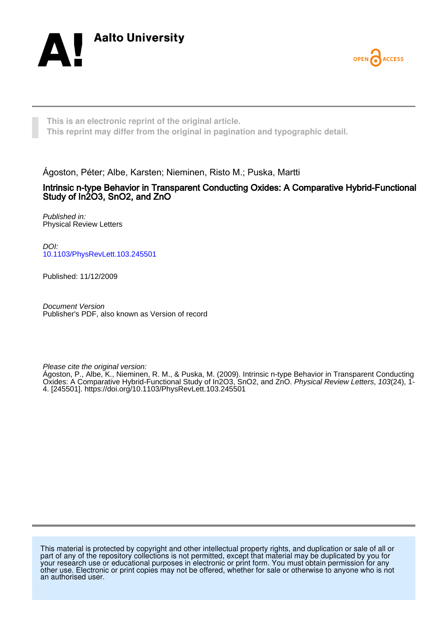



**This is an electronic reprint of the original article. This reprint may differ from the original in pagination and typographic detail.**

Ágoston, Péter; Albe, Karsten; Nieminen, Risto M.; Puska, Martti

## Intrinsic n-type Behavior in Transparent Conducting Oxides: A Comparative Hybrid-Functional Study of In2O3, SnO2, and ZnO

Published in: Physical Review Letters

DOI: [10.1103/PhysRevLett.103.245501](https://doi.org/10.1103/PhysRevLett.103.245501)

Published: 11/12/2009

Document Version Publisher's PDF, also known as Version of record

Please cite the original version:

Ágoston, P., Albe, K., Nieminen, R. M., & Puska, M. (2009). Intrinsic n-type Behavior in Transparent Conducting Oxides: A Comparative Hybrid-Functional Study of In2O3, SnO2, and ZnO. Physical Review Letters, 103(24), 1- 4. [245501]. <https://doi.org/10.1103/PhysRevLett.103.245501>

This material is protected by copyright and other intellectual property rights, and duplication or sale of all or part of any of the repository collections is not permitted, except that material may be duplicated by you for your research use or educational purposes in electronic or print form. You must obtain permission for any other use. Electronic or print copies may not be offered, whether for sale or otherwise to anyone who is not an authorised user.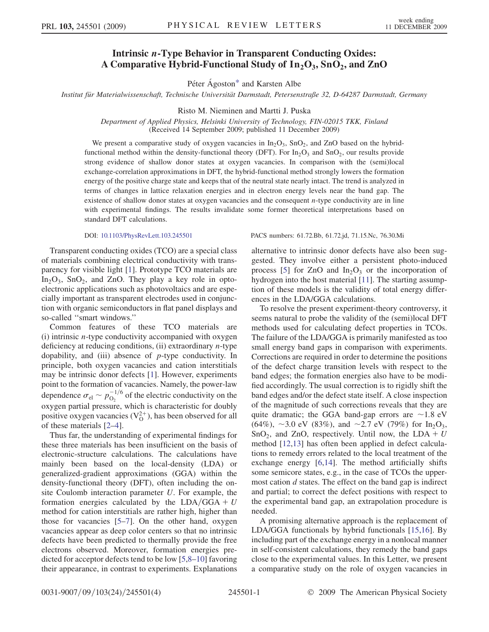## Intrinsic *n*-Type Behavior in Transparent Conducting Oxides: A Comparative Hybrid-Functional Study of  $In_2O_3$ ,  $SnO_2$ , and ZnO

Péter Ágoston[\\*](#page-4-0) and Karsten Albe

<span id="page-1-0"></span>Institut für Materialwissenschaft, Technische Universität Darmstadt, Petersenstraße 32, D-64287 Darmstadt, Germany

Risto M. Nieminen and Martti J. Puska

Department of Applied Physics, Helsinki University of Technology, FIN-02015 TKK, Finland (Received 14 September 2009; published 11 December 2009)

We present a comparative study of oxygen vacancies in  $In_2O_3$ ,  $SnO_2$ , and ZnO based on the hybridfunctional method within the density-functional theory (DFT). For  $In_2O_3$  and  $SnO_2$ , our results provide strong evidence of shallow donor states at oxygen vacancies. In comparison with the (semi)local exchange-correlation approximations in DFT, the hybrid-functional method strongly lowers the formation energy of the positive charge state and keeps that of the neutral state nearly intact. The trend is analyzed in terms of changes in lattice relaxation energies and in electron energy levels near the band gap. The existence of shallow donor states at oxygen vacancies and the consequent  $n$ -type conductivity are in line with experimental findings. The results invalidate some former theoretical interpretations based on standard DFT calculations.

Transparent conducting oxides (TCO) are a special class of materials combining electrical conductivity with transparency for visible light [\[1\]](#page-4-1). Prototype TCO materials are  $In_2O_3$ ,  $SnO_2$ , and ZnO. They play a key role in optoelectronic applications such as photovoltaics and are especially important as transparent electrodes used in conjunction with organic semiconductors in flat panel displays and so-called ''smart windows.''

Common features of these TCO materials are  $(i)$  intrinsic *n*-type conductivity accompanied with oxygen deficiency at reducing conditions,  $(ii)$  extraordinary *n*-type dopability, and (iii) absence of  $p$ -type conductivity. In principle, both oxygen vacancies and cation interstitials may be intrinsic donor defects [\[1](#page-4-1)]. However, experiments point to the formation of vacancies. Namely, the power-law dependence  $\sigma_{\rm el} \sim p_{\rm O_2}^{-1/6}$  of the electric conductivity on the oxygen partial pressure, which is characteristic for doubly positive oxygen vacancies  $(V_0^{2+})$ , has been observed for all of these materials [\[2–](#page-4-2)[4](#page-4-3)].

Thus far, the understanding of experimental findings for these three materials has been insufficient on the basis of electronic-structure calculations. The calculations have mainly been based on the local-density (LDA) or generalized-gradient approximations (GGA) within the density-functional theory (DFT), often including the onsite Coulomb interaction parameter U. For example, the formation energies calculated by the  $LDA/GGA + U$ method for cation interstitials are rather high, higher than those for vacancies [[5](#page-4-4)[–7\]](#page-4-5). On the other hand, oxygen vacancies appear as deep color centers so that no intrinsic defects have been predicted to thermally provide the free electrons observed. Moreover, formation energies predicted for acceptor defects tend to be low [\[5,](#page-4-4)[8](#page-4-6)–[10](#page-4-7)] favoring their appearance, in contrast to experiments. Explanations

DOI: [10.1103/PhysRevLett.103.245501](http://dx.doi.org/10.1103/PhysRevLett.103.245501) PACS numbers: 61.72.Bb, 61.72.jd, 71.15.Nc, 76.30.Mi

alternative to intrinsic donor defects have also been suggested. They involve either a persistent photo-induced process [[5\]](#page-4-4) for ZnO and  $In_2O_3$  or the incorporation of hydrogen into the host material [[11](#page-4-8)]. The starting assumption of these models is the validity of total energy differences in the LDA/GGA calculations.

To resolve the present experiment-theory controversy, it seems natural to probe the validity of the (semi)local DFT methods used for calculating defect properties in TCOs. The failure of the LDA/GGA is primarily manifested as too small energy band gaps in comparison with experiments. Corrections are required in order to determine the positions of the defect charge transition levels with respect to the band edges; the formation energies also have to be modified accordingly. The usual correction is to rigidly shift the band edges and/or the defect state itself. A close inspection of the magnitude of such corrections reveals that they are quite dramatic; the GGA band-gap errors are  $\sim$ 1.8 eV (64%),  $\sim$ 3.0 eV (83%), and  $\sim$ 2.7 eV (79%) for In<sub>2</sub>O<sub>3</sub>, SnO<sub>2</sub>, and ZnO, respectively. Until now, the LDA + U method [[12](#page-4-9),[13](#page-4-10)] has often been applied in defect calculations to remedy errors related to the local treatment of the exchange energy [\[6](#page-4-11)[,14\]](#page-4-12). The method artificially shifts some semicore states, e.g., in the case of TCOs the uppermost cation  $d$  states. The effect on the band gap is indirect and partial; to correct the defect positions with respect to the experimental band gap, an extrapolation procedure is needed.

A promising alternative approach is the replacement of LDA/GGA functionals by hybrid functionals [[15,](#page-4-13)[16](#page-4-14)]. By including part of the exchange energy in a nonlocal manner in self-consistent calculations, they remedy the band gaps close to the experimental values. In this Letter, we present a comparative study on the role of oxygen vacancies in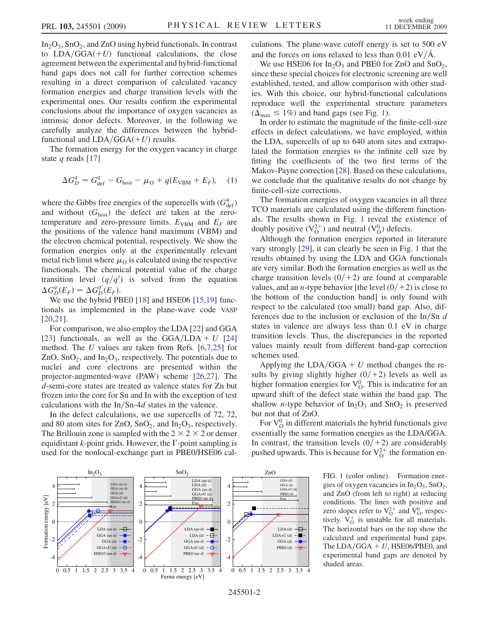$In_2O_3$ ,  $SnO_2$ , and  $ZnO$  using hybrid functionals. In contrast to  $LDA/GGA(+U)$  functional calculations, the close agreement between the experimental and hybrid-functional band gaps does not call for further correction schemes resulting in a direct comparison of calculated vacancy formation energies and charge transition levels with the experimental ones. Our results confirm the experimental conclusions about the importance of oxygen vacancies as intrinsic donor defects. Moreover, in the following we carefully analyze the differences between the hybridfunctional and  $LDA/GGA(+U)$  results.

The formation energy for the oxygen vacancy in charge state q reads [[17](#page-4-15)]

$$
\Delta G_D^q = G_{\text{def}}^q - G_{\text{host}} - \mu_{\text{O}} + q(E_{\text{VBM}} + E_F), \quad (1)
$$

where the Gibbs free energies of the supercells with  $(G_{\text{def}}^q)$ and without  $(G<sub>host</sub>)$  the defect are taken at the zerotemperature and zero-pressure limits.  $E_{VBM}$  and  $E_F$  are the positions of the valence band maximum (VBM) and the electron chemical potential, respectively. We show the formation energies only at the experimentally relevant metal rich limit where  $\mu_0$  is calculated using the respective functionals. The chemical potential value of the charge transition level  $\left(\frac{q}{q}\right)$  is solved from the equation  $\Delta G_D^q(E_F) = \Delta G_D^{q'}(E_F).$ 

We use the hybrid PBE0 [\[18\]](#page-4-16) and HSE06 [[15](#page-4-13)[,19](#page-4-17)] functionals as implemented in the plane-wave code VASP [\[20](#page-4-18)[,21\]](#page-4-19).

For comparison, we also employ the LDA [\[22\]](#page-4-20) and GGA [\[23\]](#page-4-21) functionals, as well as the GGA/LDA + U [\[24\]](#page-4-22) method. The U values are taken from Refs.  $[6,7,25]$  $[6,7,25]$  $[6,7,25]$  $[6,7,25]$  $[6,7,25]$  $[6,7,25]$  for ZnO, SnO<sub>2</sub>, and In<sub>2</sub>O<sub>3</sub>, respectively. The potentials due to nuclei and core electrons are presented within the projector-augmented-wave (PAW) scheme [\[26](#page-4-24)[,27\]](#page-4-25). The d-semi-core states are treated as valence states for Zn but frozen into the core for Sn and In with the exception of test calculations with the  $In/Sn-4d$  states in the valence.

In the defect calculations, we use supercells of 72, 72, and 80 atom sites for ZnO,  $SnO<sub>2</sub>$ , and  $In<sub>2</sub>O<sub>3</sub>$ , respectively. The Brillouin zone is sampled with the  $2 \times 2 \times 2$  or denser equidistant *k*-point grids. However, the  $\Gamma$ -point sampling is used for the nonlocal-exchange part in PBE0/HSE06 calculations. The plane-wave cutoff energy is set to 500 eV and the forces on ions relaxed to less than  $0.01 \text{ eV/A}$ .

We use HSE06 for  $In_2O_3$  and PBE0 for ZnO and SnO<sub>2</sub>, since these special choices for electronic screening are well established, tested, and allow comparison with other studies. With this choice, our hybrid-functional calculations reproduce well the experimental structure parameters  $(\Delta_{\text{max}} \le 1\%)$  and band gaps (see Fig. [1\)](#page-2-0).

In order to estimate the magnitude of the finite-cell-size effects in defect calculations, we have employed, within the LDA, supercells of up to 640 atom sites and extrapolated the formation energies to the infinite cell size by fitting the coefficients of the two first terms of the Makov-Payne correction [\[28](#page-4-26)]. Based on these calculations, we conclude that the qualitative results do not change by finite-cell-size corrections.

The formation energies of oxygen vacancies in all three TCO materials are calculated using the different functionals. The results shown in Fig. [1](#page-2-0) reveal the existence of doubly positive  $(V_0^{2+})$  and neutral  $(V_0^0)$  defects.

Although the formation energies reported in literature vary strongly [\[29\]](#page-4-27), it can clearly be seen in Fig. [1](#page-2-0) that the results obtained by using the LDA and GGA functionals are very similar. Both the formation energies as well as the charge transition levels  $(0/+2)$  are found at comparable values, and an *n*-type behavior [the level  $(0/+2)$  is close to the bottom of the conduction band] is only found with respect to the calculated (too small) band gap. Also, differences due to the inclusion or exclusion of the  $\ln/\text{Sn}$  d states in valence are always less than 0.1 eV in charge transition levels. Thus, the discrepancies in the reported values mainly result from different band-gap correction schemes used.

Applying the LDA/GGA  $+ U$  method changes the results by giving slightly higher  $(0/+2)$  levels as well as higher formation energies for  $V_0^0$ . This is indicative for an upward shift of the defect state within the band gap. The shallow *n*-type behavior of  $In_2O_3$  and  $SnO_2$  is preserved but not that of ZnO.

For  $V^0$  in different materials the hybrid functionals give essentially the same formation energies as the LDA/GGA. In contrast, the transition levels  $(0/+2)$  are considerably pushed upwards. This is because for  $V_0^{2+}$  the formation en-

> FIG. 1 (color online). Formation energies of oxygen vacancies in  $In_2O_3$ ,  $SnO_2$ , and ZnO (from left to right) at reducing conditions. The lines with positive and zero slopes refer to  $V_{\Omega}^{2+}$  and  $V_{\Omega}^{0}$ , respectively.  $V_0^+$  is unstable for all materials. The horizontal bars on the top show the calculated and experimental band gaps. The LDA/GGA  $+ U$ , HSE06/PBE0, and experimental band gaps are denoted by shaded areas.

<span id="page-2-0"></span>

245501-2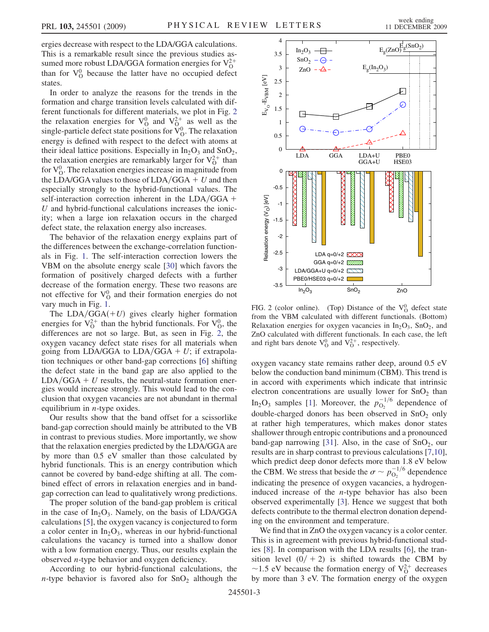ergies decrease with respect to the LDA/GGA calculations. This is a remarkable result since the previous studies assumed more robust LDA/GGA formation energies for  $V_0^{2+}$ than for  $V_0^0$  because the latter have no occupied defect states.

In order to analyze the reasons for the trends in the formation and charge transition levels calculated with different functionals for different materials, we plot in Fig. [2](#page-3-0) the relaxation energies for  $V_{\Omega}^0$  and  $V_{\Omega}^{2+}$  as well as the single-particle defect state positions for  $\breve{V}^0_{\Omega}$ . The relaxation energy is defined with respect to the defect with atoms at their ideal lattice positions. Especially in  $In_2O_3$  and  $SnO_2$ , the relaxation energies are remarkably larger for  $V_0^{2+}$  than for  $V<sub>O</sub><sup>0</sup>$ . The relaxation energies increase in magnitude from the LDA/GGA values to those of  $LDA/GGA + U$  and then especially strongly to the hybrid-functional values. The self-interaction correction inherent in the  $LDA/GGA +$  $U$  and hybrid-functional calculations increases the ionicity; when a large ion relaxation occurs in the charged defect state, the relaxation energy also increases.

The behavior of the relaxation energy explains part of the differences between the exchange-correlation functionals in Fig. [1.](#page-2-0) The self-interaction correction lowers the VBM on the absolute energy scale [\[30\]](#page-4-28) which favors the formation of positively charged defects with a further decrease of the formation energy. These two reasons are not effective for  $V_0^0$  and their formation energies do not vary much in Fig. [1.](#page-2-0)

The  $LDA/GGA(+U)$  gives clearly higher formation energies for  $V_0^{2+}$  than the hybrid functionals. For  $V_0^0$ , the differences are not so large. But, as seen in Fig. [2](#page-3-0), the oxygen vacancy defect state rises for all materials when going from LDA/GGA to LDA/GGA  $+ U$ ; if extrapolation techniques or other band-gap corrections [[6](#page-4-11)] shifting the defect state in the band gap are also applied to the  $LDA/GGA + U$  results, the neutral-state formation energies would increase strongly. This would lead to the conclusion that oxygen vacancies are not abundant in thermal equilibrium in  $n$ -type oxides.

Our results show that the band offset for a scissorlike band-gap correction should mainly be attributed to the VB in contrast to previous studies. More importantly, we show that the relaxation energies predicted by the LDA/GGA are by more than 0.5 eV smaller than those calculated by hybrid functionals. This is an energy contribution which cannot be covered by band-edge shifting at all. The combined effect of errors in relaxation energies and in bandgap correction can lead to qualitatively wrong predictions.

The proper solution of the band-gap problem is critical in the case of  $In_2O_3$ . Namely, on the basis of LDA/GGA calculations [[5](#page-4-4)], the oxygen vacancy is conjectured to form a color center in  $In_2O_3$ , whereas in our hybrid-functional calculations the vacancy is turned into a shallow donor with a low formation energy. Thus, our results explain the observed  $n$ -type behavior and oxygen deficiency.

According to our hybrid-functional calculations, the *n*-type behavior is favored also for  $SnO<sub>2</sub>$  although the

<span id="page-3-0"></span>

FIG. 2 (color online). (Top) Distance of the  $V_0^0$  defect state from the VBM calculated with different functionals. (Bottom) Relaxation energies for oxygen vacancies in  $In_2O_3$ ,  $SnO_2$ , and ZnO calculated with different functionals. In each case, the left and right bars denote  $V_0^0$  and  $V_0^{2+}$ , respectively.

oxygen vacancy state remains rather deep, around 0.5 eV below the conduction band minimum (CBM). This trend is in accord with experiments which indicate that intrinsic electron concentrations are usually lower for  $SnO<sub>2</sub>$  than In<sub>2</sub>O<sub>3</sub> samples [\[1\]](#page-4-1). Moreover, the  $p_{O_2}^{-1/6}$  dependence of double-charged donors has been observed in  $SnO<sub>2</sub>$  only at rather high temperatures, which makes donor states shallower through entropic contributions and a pronounced band-gap narrowing [[31](#page-4-29)]. Also, in the case of  $SnO<sub>2</sub>$ , our results are in sharp contrast to previous calculations [[7,](#page-4-5)[10\]](#page-4-7), which predict deep donor defects more than 1.8 eV below the CBM. We stress that beside the  $\sigma \sim p_{\text{O}_2}^{-1/6}$  dependence indicating the presence of oxygen vacancies, a hydrogeninduced increase of the  $n$ -type behavior has also been observed experimentally [\[3](#page-4-30)]. Hence we suggest that both defects contribute to the thermal electron donation depending on the environment and temperature.

We find that in ZnO the oxygen vacancy is a color center. This is in agreement with previous hybrid-functional studies [\[8\]](#page-4-6). In comparison with the LDA results [\[6\]](#page-4-11), the transition level  $(0/ + 2)$  is shifted towards the CBM by ~1.5 eV because the formation energy of  $V_0^{2+}$  decreases by more than 3 eV. The formation energy of the oxygen